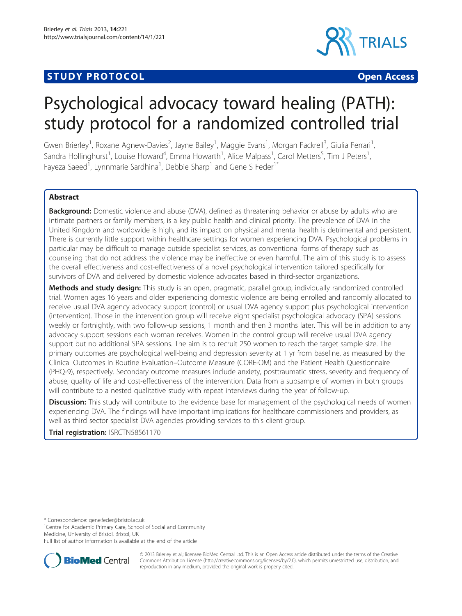# **STUDY PROTOCOL CONSUMING THE CONSUMING OPEN ACCESS**



# Psychological advocacy toward healing (PATH): study protocol for a randomized controlled trial

Gwen Brierley<sup>1</sup>, Roxane Agnew-Davies<sup>2</sup>, Jayne Bailey<sup>1</sup>, Maggie Evans<sup>1</sup>, Morgan Fackrell<sup>3</sup>, Giulia Ferrari<sup>1</sup> , Sandra Hollinghurst<sup>1</sup>, Louise Howard<sup>4</sup>, Emma Howarth<sup>1</sup>, Alice Malpass<sup>1</sup>, Carol Metters<sup>5</sup>, Tim J Peters<sup>1</sup> , Fayeza Saeed<sup>1</sup>, Lynnmarie Sardhina<sup>1</sup>, Debbie Sharp<sup>1</sup> and Gene S Feder<sup>1\*</sup>

# Abstract

**Background:** Domestic violence and abuse (DVA), defined as threatening behavior or abuse by adults who are intimate partners or family members, is a key public health and clinical priority. The prevalence of DVA in the United Kingdom and worldwide is high, and its impact on physical and mental health is detrimental and persistent. There is currently little support within healthcare settings for women experiencing DVA. Psychological problems in particular may be difficult to manage outside specialist services, as conventional forms of therapy such as counseling that do not address the violence may be ineffective or even harmful. The aim of this study is to assess the overall effectiveness and cost-effectiveness of a novel psychological intervention tailored specifically for survivors of DVA and delivered by domestic violence advocates based in third-sector organizations.

Methods and study design: This study is an open, pragmatic, parallel group, individually randomized controlled trial. Women ages 16 years and older experiencing domestic violence are being enrolled and randomly allocated to receive usual DVA agency advocacy support (control) or usual DVA agency support plus psychological intervention (intervention). Those in the intervention group will receive eight specialist psychological advocacy (SPA) sessions weekly or fortnightly, with two follow-up sessions, 1 month and then 3 months later. This will be in addition to any advocacy support sessions each woman receives. Women in the control group will receive usual DVA agency support but no additional SPA sessions. The aim is to recruit 250 women to reach the target sample size. The primary outcomes are psychological well-being and depression severity at 1 yr from baseline, as measured by the Clinical Outcomes in Routine Evaluation–Outcome Measure (CORE-OM) and the Patient Health Questionnaire (PHQ-9), respectively. Secondary outcome measures include anxiety, posttraumatic stress, severity and frequency of abuse, quality of life and cost-effectiveness of the intervention. Data from a subsample of women in both groups will contribute to a nested qualitative study with repeat interviews during the year of follow-up.

**Discussion:** This study will contribute to the evidence base for management of the psychological needs of women experiencing DVA. The findings will have important implications for healthcare commissioners and providers, as well as third sector specialist DVA agencies providing services to this client group.

Trial registration: [ISRCTN58561170](http://www.controlled-trials.com/ISRCTN58561170/path)

\* Correspondence: [gene.feder@bristol.ac.uk](mailto:gene.feder@bristol.ac.uk) <sup>1</sup>

<sup>1</sup> Centre for Academic Primary Care, School of Social and Community Medicine, University of Bristol, Bristol, UK

Full list of author information is available at the end of the article



© 2013 Brierley et al.; licensee BioMed Central Ltd. This is an Open Access article distributed under the terms of the Creative Commons Attribution License [\(http://creativecommons.org/licenses/by/2.0\)](http://creativecommons.org/licenses/by/2.0), which permits unrestricted use, distribution, and reproduction in any medium, provided the original work is properly cited.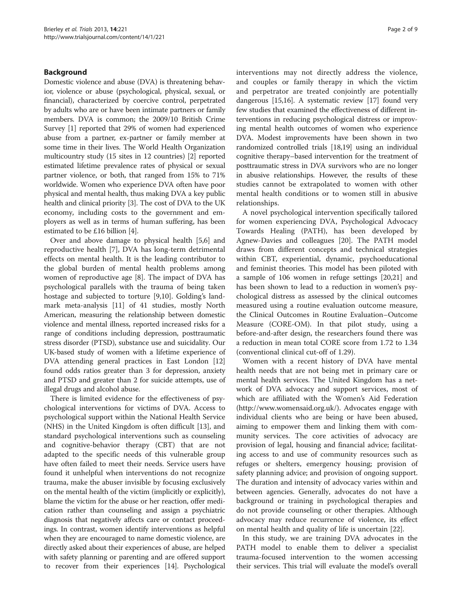# Background

Domestic violence and abuse (DVA) is threatening behavior, violence or abuse (psychological, physical, sexual, or financial), characterized by coercive control, perpetrated by adults who are or have been intimate partners or family members. DVA is common; the 2009/10 British Crime Survey [[1](#page-7-0)] reported that 29% of women had experienced abuse from a partner, ex-partner or family member at some time in their lives. The World Health Organization multicountry study (15 sites in 12 countries) [\[2\]](#page-7-0) reported estimated lifetime prevalence rates of physical or sexual partner violence, or both, that ranged from 15% to 71% worldwide. Women who experience DVA often have poor physical and mental health, thus making DVA a key public health and clinical priority [[3\]](#page-7-0). The cost of DVA to the UK economy, including costs to the government and employers as well as in terms of human suffering, has been estimated to be £16 billion [[4](#page-7-0)].

Over and above damage to physical health [[5,6\]](#page-7-0) and reproductive health [[7\]](#page-7-0), DVA has long-term detrimental effects on mental health. It is the leading contributor to the global burden of mental health problems among women of reproductive age [[8\]](#page-7-0). The impact of DVA has psychological parallels with the trauma of being taken hostage and subjected to torture [\[9,10\]](#page-7-0). Golding's landmark meta-analysis [[11\]](#page-7-0) of 41 studies, mostly North American, measuring the relationship between domestic violence and mental illness, reported increased risks for a range of conditions including depression, posttraumatic stress disorder (PTSD), substance use and suicidality. Our UK-based study of women with a lifetime experience of DVA attending general practices in East London [[12](#page-7-0)] found odds ratios greater than 3 for depression, anxiety and PTSD and greater than 2 for suicide attempts, use of illegal drugs and alcohol abuse.

There is limited evidence for the effectiveness of psychological interventions for victims of DVA. Access to psychological support within the National Health Service (NHS) in the United Kingdom is often difficult [\[13\]](#page-7-0), and standard psychological interventions such as counseling and cognitive-behavior therapy (CBT) that are not adapted to the specific needs of this vulnerable group have often failed to meet their needs. Service users have found it unhelpful when interventions do not recognize trauma, make the abuser invisible by focusing exclusively on the mental health of the victim (implicitly or explicitly), blame the victim for the abuse or her reaction, offer medication rather than counseling and assign a psychiatric diagnosis that negatively affects care or contact proceedings. In contrast, women identify interventions as helpful when they are encouraged to name domestic violence, are directly asked about their experiences of abuse, are helped with safety planning or parenting and are offered support to recover from their experiences [\[14](#page-7-0)]. Psychological interventions may not directly address the violence, and couples or family therapy in which the victim and perpetrator are treated conjointly are potentially dangerous [[15,16](#page-7-0)]. A systematic review [\[17\]](#page-7-0) found very few studies that examined the effectiveness of different interventions in reducing psychological distress or improving mental health outcomes of women who experience DVA. Modest improvements have been shown in two randomized controlled trials [[18,19](#page-7-0)] using an individual cognitive therapy–based intervention for the treatment of posttraumatic stress in DVA survivors who are no longer in abusive relationships. However, the results of these studies cannot be extrapolated to women with other mental health conditions or to women still in abusive relationships.

A novel psychological intervention specifically tailored for women experiencing DVA, Psychological Advocacy Towards Healing (PATH), has been developed by Agnew-Davies and colleagues [[20\]](#page-7-0). The PATH model draws from different concepts and technical strategies within CBT, experiential, dynamic, psychoeducational and feminist theories. This model has been piloted with a sample of 106 women in refuge settings [\[20,21\]](#page-7-0) and has been shown to lead to a reduction in women's psychological distress as assessed by the clinical outcomes measured using a routine evaluation outcome measure, the Clinical Outcomes in Routine Evaluation–Outcome Measure (CORE-OM). In that pilot study, using a before-and-after design, the researchers found there was a reduction in mean total CORE score from 1.72 to 1.34 (conventional clinical cut-off of 1.29).

Women with a recent history of DVA have mental health needs that are not being met in primary care or mental health services. The United Kingdom has a network of DVA advocacy and support services, most of which are affiliated with the Women's Aid Federation (<http://www.womensaid.org.uk/>). Advocates engage with individual clients who are being or have been abused, aiming to empower them and linking them with community services. The core activities of advocacy are provision of legal, housing and financial advice; facilitating access to and use of community resources such as refuges or shelters, emergency housing; provision of safety planning advice; and provision of ongoing support. The duration and intensity of advocacy varies within and between agencies. Generally, advocates do not have a background or training in psychological therapies and do not provide counseling or other therapies. Although advocacy may reduce recurrence of violence, its effect on mental health and quality of life is uncertain [\[22](#page-7-0)].

In this study, we are training DVA advocates in the PATH model to enable them to deliver a specialist trauma-focused intervention to the women accessing their services. This trial will evaluate the model's overall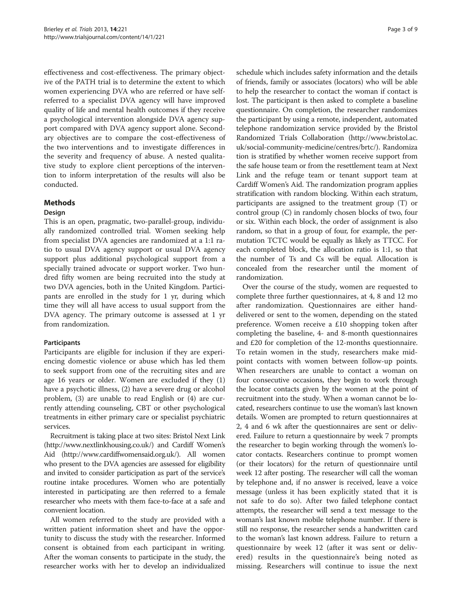effectiveness and cost-effectiveness. The primary objective of the PATH trial is to determine the extent to which women experiencing DVA who are referred or have selfreferred to a specialist DVA agency will have improved quality of life and mental health outcomes if they receive a psychological intervention alongside DVA agency support compared with DVA agency support alone. Secondary objectives are to compare the cost-effectiveness of the two interventions and to investigate differences in the severity and frequency of abuse. A nested qualitative study to explore client perceptions of the intervention to inform interpretation of the results will also be conducted.

# Methods

### Design

This is an open, pragmatic, two-parallel-group, individually randomized controlled trial. Women seeking help from specialist DVA agencies are randomized at a 1:1 ratio to usual DVA agency support or usual DVA agency support plus additional psychological support from a specially trained advocate or support worker. Two hundred fifty women are being recruited into the study at two DVA agencies, both in the United Kingdom. Participants are enrolled in the study for 1 yr, during which time they will all have access to usual support from the DVA agency. The primary outcome is assessed at 1 yr from randomization.

# **Participants**

Participants are eligible for inclusion if they are experiencing domestic violence or abuse which has led them to seek support from one of the recruiting sites and are age 16 years or older. Women are excluded if they (1) have a psychotic illness, (2) have a severe drug or alcohol problem, (3) are unable to read English or (4) are currently attending counseling, CBT or other psychological treatments in either primary care or specialist psychiatric services.

Recruitment is taking place at two sites: Bristol Next Link (<http://www.nextlinkhousing.co.uk/>) and Cardiff Women's Aid [\(http://www.cardiffwomensaid.org.uk/\)](http://www.cardiffwomensaid.org.uk/). All women who present to the DVA agencies are assessed for eligibility and invited to consider participation as part of the service's routine intake procedures. Women who are potentially interested in participating are then referred to a female researcher who meets with them face-to-face at a safe and convenient location.

All women referred to the study are provided with a written patient information sheet and have the opportunity to discuss the study with the researcher. Informed consent is obtained from each participant in writing. After the woman consents to participate in the study, the researcher works with her to develop an individualized

schedule which includes safety information and the details of friends, family or associates (locators) who will be able to help the researcher to contact the woman if contact is lost. The participant is then asked to complete a baseline questionnaire. On completion, the researcher randomizes the participant by using a remote, independent, automated telephone randomization service provided by the Bristol Randomized Trials Collaboration ([http://www.bristol.ac.](http://www.bristol.ac.uk/social-community-medicine/centres/brtc/) [uk/social-community-medicine/centres/brtc/\)](http://www.bristol.ac.uk/social-community-medicine/centres/brtc/). Randomiza tion is stratified by whether women receive support from the safe house team or from the resettlement team at Next Link and the refuge team or tenant support team at Cardiff Women's Aid. The randomization program applies stratification with random blocking. Within each stratum, participants are assigned to the treatment group (T) or control group (C) in randomly chosen blocks of two, four or six. Within each block, the order of assignment is also random, so that in a group of four, for example, the permutation TCTC would be equally as likely as TTCC. For each completed block, the allocation ratio is 1:1, so that the number of Ts and Cs will be equal. Allocation is concealed from the researcher until the moment of randomization.

Over the course of the study, women are requested to complete three further questionnaires, at 4, 8 and 12 mo after randomization. Questionnaires are either handdelivered or sent to the women, depending on the stated preference. Women receive a £10 shopping token after completing the baseline, 4- and 8-month questionnaires and £20 for completion of the 12-months questionnaire. To retain women in the study, researchers make midpoint contacts with women between follow-up points. When researchers are unable to contact a woman on four consecutive occasions, they begin to work through the locator contacts given by the women at the point of recruitment into the study. When a woman cannot be located, researchers continue to use the woman's last known details. Women are prompted to return questionnaires at 2, 4 and 6 wk after the questionnaires are sent or delivered. Failure to return a questionnaire by week 7 prompts the researcher to begin working through the women's locator contacts. Researchers continue to prompt women (or their locators) for the return of questionnaire until week 12 after posting. The researcher will call the woman by telephone and, if no answer is received, leave a voice message (unless it has been explicitly stated that it is not safe to do so). After two failed telephone contact attempts, the researcher will send a text message to the woman's last known mobile telephone number. If there is still no response, the researcher sends a handwritten card to the woman's last known address. Failure to return a questionnaire by week 12 (after it was sent or delivered) results in the questionnaire's being noted as missing. Researchers will continue to issue the next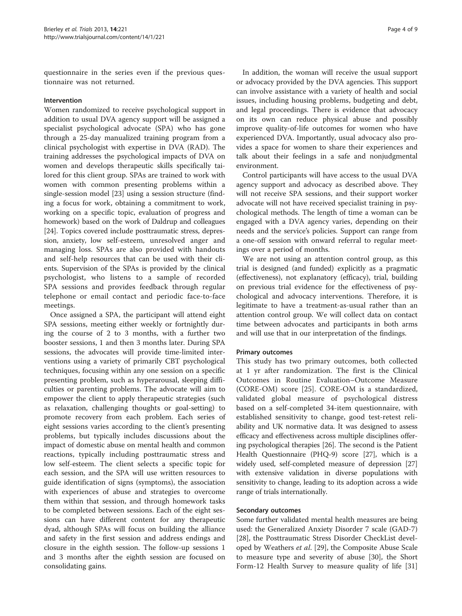questionnaire in the series even if the previous questionnaire was not returned.

#### Intervention

Women randomized to receive psychological support in addition to usual DVA agency support will be assigned a specialist psychological advocate (SPA) who has gone through a 25-day manualized training program from a clinical psychologist with expertise in DVA (RAD). The training addresses the psychological impacts of DVA on women and develops therapeutic skills specifically tailored for this client group. SPAs are trained to work with women with common presenting problems within a single-session model [\[23](#page-7-0)] using a session structure (finding a focus for work, obtaining a commitment to work, working on a specific topic, evaluation of progress and homework) based on the work of Daldrup and colleagues [[24](#page-7-0)]. Topics covered include posttraumatic stress, depression, anxiety, low self-esteem, unresolved anger and managing loss. SPAs are also provided with handouts and self-help resources that can be used with their clients. Supervision of the SPAs is provided by the clinical psychologist, who listens to a sample of recorded SPA sessions and provides feedback through regular telephone or email contact and periodic face-to-face meetings.

Once assigned a SPA, the participant will attend eight SPA sessions, meeting either weekly or fortnightly during the course of 2 to 3 months, with a further two booster sessions, 1 and then 3 months later. During SPA sessions, the advocates will provide time-limited interventions using a variety of primarily CBT psychological techniques, focusing within any one session on a specific presenting problem, such as hyperarousal, sleeping difficulties or parenting problems. The advocate will aim to empower the client to apply therapeutic strategies (such as relaxation, challenging thoughts or goal-setting) to promote recovery from each problem. Each series of eight sessions varies according to the client's presenting problems, but typically includes discussions about the impact of domestic abuse on mental health and common reactions, typically including posttraumatic stress and low self-esteem. The client selects a specific topic for each session, and the SPA will use written resources to guide identification of signs (symptoms), the association with experiences of abuse and strategies to overcome them within that session, and through homework tasks to be completed between sessions. Each of the eight sessions can have different content for any therapeutic dyad, although SPAs will focus on building the alliance and safety in the first session and address endings and closure in the eighth session. The follow-up sessions 1 and 3 months after the eighth session are focused on consolidating gains.

In addition, the woman will receive the usual support or advocacy provided by the DVA agencies. This support can involve assistance with a variety of health and social issues, including housing problems, budgeting and debt, and legal proceedings. There is evidence that advocacy on its own can reduce physical abuse and possibly improve quality-of-life outcomes for women who have experienced DVA. Importantly, usual advocacy also provides a space for women to share their experiences and talk about their feelings in a safe and nonjudgmental environment.

Control participants will have access to the usual DVA agency support and advocacy as described above. They will not receive SPA sessions, and their support worker advocate will not have received specialist training in psychological methods. The length of time a woman can be engaged with a DVA agency varies, depending on their needs and the service's policies. Support can range from a one-off session with onward referral to regular meetings over a period of months.

We are not using an attention control group, as this trial is designed (and funded) explicitly as a pragmatic (effectiveness), not explanatory (efficacy), trial, building on previous trial evidence for the effectiveness of psychological and advocacy interventions. Therefore, it is legitimate to have a treatment-as-usual rather than an attention control group. We will collect data on contact time between advocates and participants in both arms and will use that in our interpretation of the findings.

#### Primary outcomes

This study has two primary outcomes, both collected at 1 yr after randomization. The first is the Clinical Outcomes in Routine Evaluation–Outcome Measure (CORE-OM) score [\[25](#page-7-0)]. CORE-OM is a standardized, validated global measure of psychological distress based on a self-completed 34-item questionnaire, with established sensitivity to change, good test-retest reliability and UK normative data. It was designed to assess efficacy and effectiveness across multiple disciplines offering psychological therapies [\[26](#page-7-0)]. The second is the Patient Health Questionnaire (PHQ-9) score [\[27\]](#page-7-0), which is a widely used, self-completed measure of depression [[27](#page-7-0)] with extensive validation in diverse populations with sensitivity to change, leading to its adoption across a wide range of trials internationally.

#### Secondary outcomes

Some further validated mental health measures are being used: the Generalized Anxiety Disorder 7 scale (GAD-7) [[28\]](#page-7-0), the Posttraumatic Stress Disorder CheckList developed by Weathers *et al.* [\[29](#page-7-0)], the Composite Abuse Scale to measure type and severity of abuse [[30](#page-7-0)], the Short Form-12 Health Survey to measure quality of life [[31](#page-7-0)]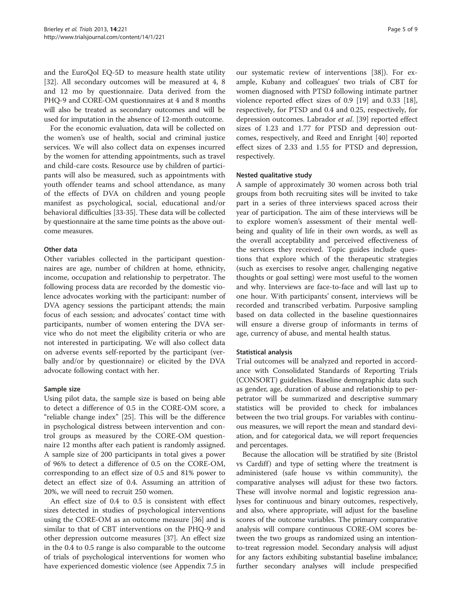and the EuroQol EQ-5D to measure health state utility [[32\]](#page-7-0). All secondary outcomes will be measured at 4, 8 and 12 mo by questionnaire. Data derived from the PHQ-9 and CORE-OM questionnaires at 4 and 8 months will also be treated as secondary outcomes and will be used for imputation in the absence of 12-month outcome.

For the economic evaluation, data will be collected on the women's use of health, social and criminal justice services. We will also collect data on expenses incurred by the women for attending appointments, such as travel and child-care costs. Resource use by children of participants will also be measured, such as appointments with youth offender teams and school attendance, as many of the effects of DVA on children and young people manifest as psychological, social, educational and/or behavioral difficulties [\[33-35\]](#page-7-0). These data will be collected by questionnaire at the same time points as the above outcome measures.

## Other data

Other variables collected in the participant questionnaires are age, number of children at home, ethnicity, income, occupation and relationship to perpetrator. The following process data are recorded by the domestic violence advocates working with the participant: number of DVA agency sessions the participant attends; the main focus of each session; and advocates' contact time with participants, number of women entering the DVA service who do not meet the eligibility criteria or who are not interested in participating. We will also collect data on adverse events self-reported by the participant (verbally and/or by questionnaire) or elicited by the DVA advocate following contact with her.

#### Sample size

Using pilot data, the sample size is based on being able to detect a difference of 0.5 in the CORE-OM score, a "reliable change index" [[25\]](#page-7-0). This will be the difference in psychological distress between intervention and control groups as measured by the CORE-OM questionnaire 12 months after each patient is randomly assigned. A sample size of 200 participants in total gives a power of 96% to detect a difference of 0.5 on the CORE-OM, corresponding to an effect size of 0.5 and 81% power to detect an effect size of 0.4. Assuming an attrition of 20%, we will need to recruit 250 women.

An effect size of 0.4 to 0.5 is consistent with effect sizes detected in studies of psychological interventions using the CORE-OM as an outcome measure [\[36\]](#page-7-0) and is similar to that of CBT interventions on the PHQ-9 and other depression outcome measures [\[37\]](#page-8-0). An effect size in the 0.4 to 0.5 range is also comparable to the outcome of trials of psychological interventions for women who have experienced domestic violence (see Appendix 7.5 in our systematic review of interventions [[38\]](#page-8-0)). For example, Kubany and colleagues' two trials of CBT for women diagnosed with PTSD following intimate partner violence reported effect sizes of 0.9 [[19](#page-7-0)] and 0.33 [\[18](#page-7-0)], respectively, for PTSD and 0.4 and 0.25, respectively, for depression outcomes. Labrador et al. [[39](#page-8-0)] reported effect sizes of 1.23 and 1.77 for PTSD and depression outcomes, respectively, and Reed and Enright [\[40](#page-8-0)] reported effect sizes of 2.33 and 1.55 for PTSD and depression, respectively.

#### Nested qualitative study

A sample of approximately 30 women across both trial groups from both recruiting sites will be invited to take part in a series of three interviews spaced across their year of participation. The aim of these interviews will be to explore women's assessment of their mental wellbeing and quality of life in their own words, as well as the overall acceptability and perceived effectiveness of the services they received. Topic guides include questions that explore which of the therapeutic strategies (such as exercises to resolve anger, challenging negative thoughts or goal setting) were most useful to the women and why. Interviews are face-to-face and will last up to one hour. With participants' consent, interviews will be recorded and transcribed verbatim. Purposive sampling based on data collected in the baseline questionnaires will ensure a diverse group of informants in terms of age, currency of abuse, and mental health status.

#### Statistical analysis

Trial outcomes will be analyzed and reported in accordance with Consolidated Standards of Reporting Trials (CONSORT) guidelines. Baseline demographic data such as gender, age, duration of abuse and relationship to perpetrator will be summarized and descriptive summary statistics will be provided to check for imbalances between the two trial groups. For variables with continuous measures, we will report the mean and standard deviation, and for categorical data, we will report frequencies and percentages.

Because the allocation will be stratified by site (Bristol vs Cardiff) and type of setting where the treatment is administered (safe house vs within community), the comparative analyses will adjust for these two factors. These will involve normal and logistic regression analyses for continuous and binary outcomes, respectively, and also, where appropriate, will adjust for the baseline scores of the outcome variables. The primary comparative analysis will compare continuous CORE-OM scores between the two groups as randomized using an intentionto-treat regression model. Secondary analysis will adjust for any factors exhibiting substantial baseline imbalance; further secondary analyses will include prespecified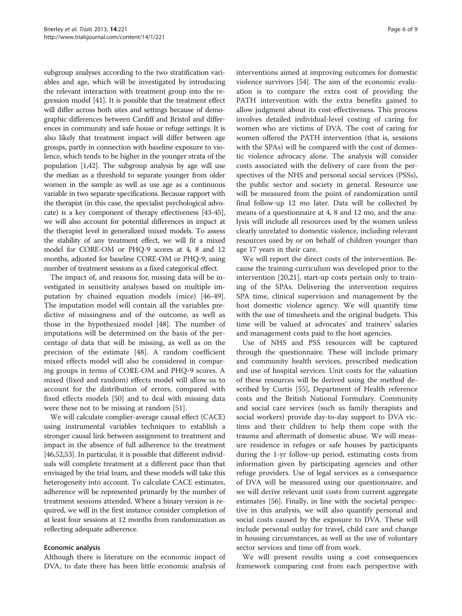subgroup analyses according to the two stratification variables and age, which will be investigated by introducing the relevant interaction with treatment group into the regression model [\[41](#page-8-0)]. It is possible that the treatment effect will differ across both sites and settings because of demographic differences between Cardiff and Bristol and differences in community and safe house or refuge settings. It is also likely that treatment impact will differ between age groups, partly in connection with baseline exposure to violence, which tends to be higher in the younger strata of the population [\[1,](#page-7-0)[42](#page-8-0)]. The subgroup analysis by age will use the median as a threshold to separate younger from older women in the sample as well as use age as a continuous variable in two separate specifications. Because rapport with the therapist (in this case, the specialist psychological advocate) is a key component of therapy effectiveness [\[43-45](#page-8-0)], we will also account for potential differences in impact at the therapist level in generalized mixed models. To assess the stability of any treatment effect, we will fit a mixed model for CORE-OM or PHQ-9 scores at 4, 8 and 12 months, adjusted for baseline CORE-OM or PHQ-9, using number of treatment sessions as a fixed categorical effect.

The impact of, and reasons for, missing data will be investigated in sensitivity analyses based on multiple imputation by chained equation models (mice) [\[46-49](#page-8-0)]. The imputation model will contain all the variables predictive of missingness and of the outcome, as well as those in the hypothesized model [[48\]](#page-8-0). The number of imputations will be determined on the basis of the percentage of data that will be missing, as well as on the precision of the estimate [\[48\]](#page-8-0). A random coefficient mixed effects model will also be considered in comparing groups in terms of CORE-OM and PHQ-9 scores. A mixed (fixed and random) effects model will allow us to account for the distribution of errors, compared with fixed effects models [\[50](#page-8-0)] and to deal with missing data were these not to be missing at random [[51\]](#page-8-0).

We will calculate complier-average causal effect (CACE) using instrumental variables techniques to establish a stronger causal link between assignment to treatment and impact in the absence of full adherence to the treatment [[46,52,53\]](#page-8-0). In particular, it is possible that different individuals will complete treatment at a different pace than that envisaged by the trial team, and these models will take this heterogeneity into account. To calculate CACE estimates, adherence will be represented primarily by the number of treatment sessions attended. Where a binary version is required, we will in the first instance consider completion of at least four sessions at 12 months from randomization as reflecting adequate adherence.

#### Economic analysis

Although there is literature on the economic impact of DVA, to date there has been little economic analysis of interventions aimed at improving outcomes for domestic violence survivors [[54](#page-8-0)]. The aim of the economic evaluation is to compare the extra cost of providing the PATH intervention with the extra benefits gained to allow judgment about its cost-effectiveness. This process involves detailed individual-level costing of caring for women who are victims of DVA. The cost of caring for women offered the PATH intervention (that is, sessions with the SPAs) will be compared with the cost of domestic violence advocacy alone. The analysis will consider costs associated with the delivery of care from the perspectives of the NHS and personal social services (PSSs), the public sector and society in general. Resource use will be measured from the point of randomization until final follow-up 12 mo later. Data will be collected by means of a questionnaire at 4, 8 and 12 mo, and the analysis will include all resources used by the women unless clearly unrelated to domestic violence, including relevant resources used by or on behalf of children younger than age 17 years in their care.

We will report the direct costs of the intervention. Because the training curriculum was developed prior to the intervention [\[20,21](#page-7-0)], start-up costs pertain only to training of the SPAs. Delivering the intervention requires SPA time, clinical supervision and management by the host domestic violence agency. We will quantify time with the use of timesheets and the original budgets. This time will be valued at advocates' and trainers' salaries and management costs paid to the host agencies.

Use of NHS and PSS resources will be captured through the questionnaire. These will include primary and community health services, prescribed medication and use of hospital services. Unit costs for the valuation of these resources will be derived using the method described by Curtis [\[55](#page-8-0)], Department of Health reference costs and the British National Formulary. Community and social care services (such as family therapists and social workers) provide day-to-day support to DVA victims and their children to help them cope with the trauma and aftermath of domestic abuse. We will measure residence in refuges or safe houses by participants during the 1-yr follow-up period, estimating costs from information given by participating agencies and other refuge providers. Use of legal services as a consequence of DVA will be measured using our questionnaire, and we will derive relevant unit costs from current aggregate estimates [\[56](#page-8-0)]. Finally, in line with the societal perspective in this analysis, we will also quantify personal and social costs caused by the exposure to DVA. These will include personal outlay for travel, child care and change in housing circumstances, as well as the use of voluntary sector services and time off from work.

We will present results using a cost consequences framework comparing cost from each perspective with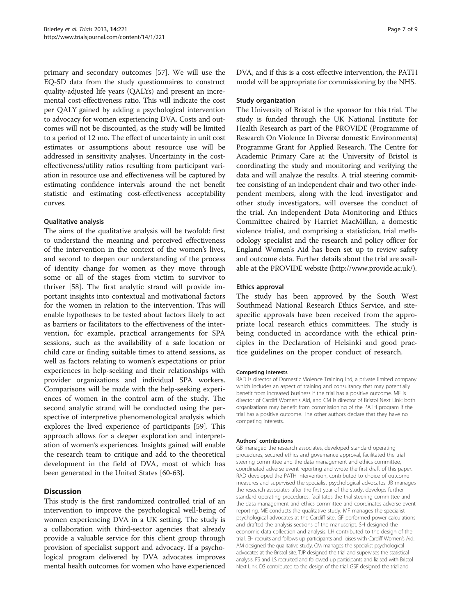primary and secondary outcomes [\[57\]](#page-8-0). We will use the EQ-5D data from the study questionnaires to construct quality-adjusted life years (QALYs) and present an incremental cost-effectiveness ratio. This will indicate the cost per QALY gained by adding a psychological intervention to advocacy for women experiencing DVA. Costs and outcomes will not be discounted, as the study will be limited to a period of 12 mo. The effect of uncertainty in unit cost estimates or assumptions about resource use will be addressed in sensitivity analyses. Uncertainty in the costeffectiveness/utility ratios resulting from participant variation in resource use and effectiveness will be captured by estimating confidence intervals around the net benefit statistic and estimating cost-effectiveness acceptability curves.

#### Qualitative analysis

The aims of the qualitative analysis will be twofold: first to understand the meaning and perceived effectiveness of the intervention in the context of the women's lives, and second to deepen our understanding of the process of identity change for women as they move through some or all of the stages from victim to survivor to thriver [\[58\]](#page-8-0). The first analytic strand will provide important insights into contextual and motivational factors for the women in relation to the intervention. This will enable hypotheses to be tested about factors likely to act as barriers or facilitators to the effectiveness of the intervention, for example, practical arrangements for SPA sessions, such as the availability of a safe location or child care or finding suitable times to attend sessions, as well as factors relating to women's expectations or prior experiences in help-seeking and their relationships with provider organizations and individual SPA workers. Comparisons will be made with the help-seeking experiences of women in the control arm of the study. The second analytic strand will be conducted using the perspective of interpretive phenomenological analysis which explores the lived experience of participants [[59\]](#page-8-0). This approach allows for a deeper exploration and interpretation of women's experiences. Insights gained will enable the research team to critique and add to the theoretical development in the field of DVA, most of which has been generated in the United States [\[60](#page-8-0)-[63\]](#page-8-0).

# Discussion

This study is the first randomized controlled trial of an intervention to improve the psychological well-being of women experiencing DVA in a UK setting. The study is a collaboration with third-sector agencies that already provide a valuable service for this client group through provision of specialist support and advocacy. If a psychological program delivered by DVA advocates improves mental health outcomes for women who have experienced

DVA, and if this is a cost-effective intervention, the PATH model will be appropriate for commissioning by the NHS.

#### Study organization

The University of Bristol is the sponsor for this trial. The study is funded through the UK National Institute for Health Research as part of the PROVIDE (Programme of Research On Violence In Diverse domestic Environments) Programme Grant for Applied Research. The Centre for Academic Primary Care at the University of Bristol is coordinating the study and monitoring and verifying the data and will analyze the results. A trial steering committee consisting of an independent chair and two other independent members, along with the lead investigator and other study investigators, will oversee the conduct of the trial. An independent Data Monitoring and Ethics Committee chaired by Harriet MacMillan, a domestic violence trialist, and comprising a statistician, trial methodology specialist and the research and policy officer for England Women's Aid has been set up to review safety and outcome data. Further details about the trial are available at the PROVIDE website [\(http://www.provide.ac.uk/](http://www.provide.ac.uk/)).

#### Ethics approval

The study has been approved by the South West Southmead National Research Ethics Service, and sitespecific approvals have been received from the appropriate local research ethics committees. The study is being conducted in accordance with the ethical principles in the Declaration of Helsinki and good practice guidelines on the proper conduct of research.

#### Competing interests

RAD is director of Domestic Violence Training Ltd, a private limited company which includes an aspect of training and consultancy that may potentially benefit from increased business if the trial has a positive outcome. MF is director of Cardiff Women's Aid, and CM is director of Bristol Next Link; both organizations may benefit from commissioning of the PATH program if the trial has a positive outcome. The other authors declare that they have no competing interests.

#### Authors' contributions

GB managed the research associates, developed standard operating procedures, secured ethics and governance approval, facilitated the trial steering committee and the data management and ethics committee, coordinated adverse event reporting and wrote the first draft of this paper. RAD developed the PATH intervention, contributed to choice of outcome measures and supervised the specialist psychological advocates. JB manages the research associates after the first year of the study, develops further standard operating procedures, facilitates the trial steering committee and the data management and ethics committee and coordinates adverse event reporting. ME conducts the qualitative study. MF manages the specialist psychological advocates at the Cardiff site. GF performed power calculations and drafted the analysis sections of the manuscript. SH designed the economic data collection and analysis. LH contributed to the design of the trial. EH recruits and follows up participants and liaises with Cardiff Women's Aid. AM designed the qualitative study. CM manages the specialist psychological advocates at the Bristol site. TJP designed the trial and supervises the statistical analysis. FS and LS recruited and followed up participants and liaised with Bristol Next Link. DS contributed to the design of the trial. GSF designed the trial and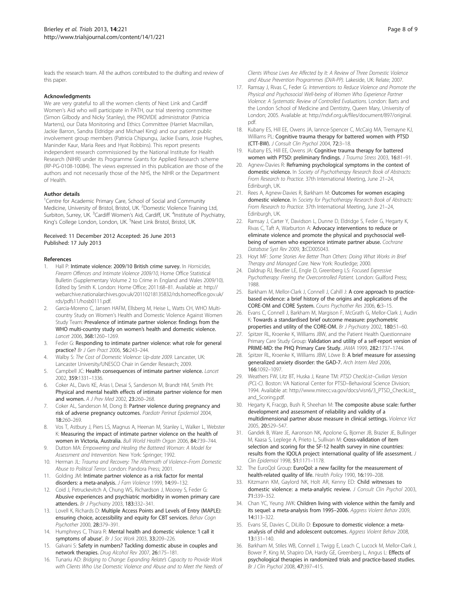<span id="page-7-0"></span>leads the research team. All the authors contributed to the drafting and review of this paper.

#### Acknowledgments

We are very grateful to all the women clients of Next Link and Cardiff Women's Aid who will participate in PATH, our trial steering committee (Simon Gilbody and Nicky Stanley), the PROVIDE administrator (Patricia Martens), our Data Monitoring and Ethics Committee (Harriet Macmillan, Jackie Barron, Sandra Eldridge and Michael King) and our patient public involvement group members (Patricia Chipungu, Jackie Evans, Josie Hughes, Maninder Kaur, Maria Rees and Hyat Robbins). This report presents independent research commissioned by the National Institute for Health Research (NIHR) under its Programme Grants for Applied Research scheme (RP-PG-0108-10084). The views expressed in this publication are those of the authors and not necessarily those of the NHS, the NIHR or the Department of Health.

#### Author details

<sup>1</sup>Centre for Academic Primary Care, School of Social and Community Medicine, University of Bristol, Bristol, UK. <sup>2</sup>Domestic Violence Training Ltd, Surbiton, Surrey, UK. <sup>3</sup>Cardiff Women's Aid, Cardiff, UK. <sup>4</sup>Institute of Psychiatry, King's College London, London, UK. <sup>5</sup>Next Link Bristol, Bristol, UK.

#### Received: 11 December 2012 Accepted: 26 June 2013 Published: 17 July 2013

#### References

- Hall P: Intimate violence: 2009/10 British crime survey. In Homicides, Firearm Offences and Intimate Violence 2009/10, Home Office Statistical Bulletin (Supplementary Volume 2 to Crime in England and Wales 2009/10). Edited by Smith K. London: Home Office; 2011:68–81. Available at: [http://](http://webarchive.nationalarchives.gov.uk/20110218135832/rds.homeoffice.gov.uk/rds/pdfs11/hosb0111.pdf) [webarchive.nationalarchives.gov.uk/20110218135832/rds.homeoffice.gov.uk/](http://webarchive.nationalarchives.gov.uk/20110218135832/rds.homeoffice.gov.uk/rds/pdfs11/hosb0111.pdf) [rds/pdfs11/hosb0111.pdf.](http://webarchive.nationalarchives.gov.uk/20110218135832/rds.homeoffice.gov.uk/rds/pdfs11/hosb0111.pdf)
- 2. Garcia-Moreno C, Jansen HAFM, Ellsberg M, Heise L, Watts CH, WHO Multicountry Study on Women's Health and Domestic Violence Against Women Study Team: Prevalence of intimate partner violence: findings from the WHO multi-country study on women's health and domestic violence. Lancet 2006, 368:1260–1269.
- Feder G: Responding to intimate partner violence: what role for general practice? Br J Gen Pract 2006, 56:243–244.
- Walby S: The Cost of Domestic Violence: Up-date 2009. Lancaster, UK: Lancaster University/UNESCO Chair in Gender Research; 2009.
- 5. Campbell JC: Health consequences of intimate partner violence. Lancet 2002, 359:1331–1336.
- 6. Coker AL, Davis KE, Arias I, Desai S, Sanderson M, Brandt HM, Smith PH: Physical and mental health effects of intimate partner violence for men and women. A J Prev Med 2002, 23:260–268.
- Coker AL, Sanderson M, Dong B: Partner violence during pregnancy and risk of adverse pregnancy outcomes. Paediatr Perinat Epidemiol 2004, 18:260–269.
- 8. Vos T, Astbury J, Piers LS, Magnus A, Heenan M, Stanley L, Walker L, Webster K: Measuring the impact of intimate partner violence on the health of women in Victoria, Australia. Bull World Health Organ 2006, 84:739–744.
- Dutton MA: Empowering and Healing the Battered Woman: A Model for Assessment and Intervention. New York: Springer; 1992.
- 10. Herman JL: Trauma and Recovery: The Aftermath of Violence–From Domestic Abuse to Political Terror. London: Pandora Press; 2001.
- 11. Golding JM: Intimate partner violence as a risk factor for mental disorders: a meta-analysis. J Fam Violence 1999, 14:99-132.
- 12. Coid J, Petruckevitch A, Chung WS, Richardson J, Moorey S, Feder G: Abusive experiences and psychiatric morbidity in women primary care attenders. Br J Psychiatry 2003, 183:332–341.
- 13. Lovell K, Richards D: Multiple Access Points and Levels of Entry (MAPLE): ensuring choice, accessibility and equity for CBT services. Behav Cogn Psychother 2000, 28:379–391.
- 14. Humphreys C, Thiara R: Mental health and domestic violence: 'I call it symptoms of abuse'. Br J Soc Work 2003, 33:209–226.
- Galvani S: Safety in numbers? Tackling domestic abuse in couples and network therapies. Drug Alcohol Rev 2007, 26:175–181.
- 16. Tunariu AD: Bridging to Change: Expanding Relate's Capacity to Provide Work with Clients Who Use Domestic Violence and Abuse and to Meet the Needs of

Clients Whose Lives Are Affected by It: A Review of Three Domestic Violence and Abuse Prevention Programmes (DVA-PP). Lakeside, UK: Relate; 2007.

- 17. Ramsay J, Rivas C, Feder G: Interventions to Reduce Violence and Promote the Physical and Psychosocial Well-being of Women Who Experience Partner Violence: A Systematic Review of Controlled Evaluations. London: Barts and the London School of Medicine and Dentistry, Queen Mary, University of London; 2005. Available at: [http://ndvf.org.uk/files/document/897/original.](http://ndvf.org.uk/files/document/897/original.pdf) [pdf](http://ndvf.org.uk/files/document/897/original.pdf).
- 18. Kubany ES, Hill EE, Owens JA, Iannce-Spencer C, McCaig MA, Tremayne KJ, Williams PL: Cognitive trauma therapy for battered women with PTSD (CTT-BW). J Consult Clin Psychol 2004, 72:3–18.
- 19. Kubany ES, Hill EE, Owens JA: Cognitive trauma therapy for battered women with PTSD: preliminary findings. J Trauma Stress 2003, 16:81-91.
- 20. Agnew-Davies R: Reframing psychological symptoms in the context of domestic violence. In Society of Psychotherapy Research Book of Abstracts: From Research to Practice. 37th International Meeting, June 21–24, Edinburgh, UK.
- 21. Rees A, Agnew-Davies R, Barkham M: Outcomes for women escaping domestic violence. In Society for Psychotherapy Research Book of Abstracts: From Research to Practice. 37th International Meeting, June 21–24, Edinburgh, UK.
- 22. Ramsay J, Carter Y, Davidson L, Dunne D, Eldridge S, Feder G, Hegarty K, Rivas C, Taft A, Warburton A: Advocacy interventions to reduce or eliminate violence and promote the physical and psychosocial wellbeing of women who experience intimate partner abuse. Cochrane Database Syst Rev 2009, 3:CD005043.
- 23. Hoyt MF: Some Stories Are Better Than Others: Doing What Works in Brief Therapy and Managed Care. New York: Routledge; 2000.
- 24. Daldrup RJ, Beutler LE, Engle D, Greenberg LS: Focused Expressive Psychotherapy: Freeing the Overcontrolled Patient. London: Guilford Press; 1988.
- 25. Barkham M, Mellor-Clark J, Connell J, Cahill J: A core approach to practicebased evidence: a brief history of the origins and applications of the CORE-OM and CORE System. Couns Psychother Res 2006, 6:3–15.
- 26. Evans C, Connell J, Barkham M, Margison F, McGrath G, Mellor-Clark J, Audin K: Towards a standardised brief outcome measure: psychometric properties and utility of the CORE-OM. Br J Psychiatry 2002, 180:51–60.
- 27. Spitzer RL, Kroenke K, Williams JBW, and the Patient Health Questionnaire Primary Care Study Group: Validation and utility of a self-report version of PRIME-MD: the PHQ Primary Care Study. JAMA 1999, 282:1737-1744.
- 28. Spitzer RL, Kroenke K, Williams JBW, Löwe B: A brief measure for assessing generalized anxiety disorder: the GAD-7. Arch Intern Med 2006, 166:1092–1097.
- 29. Weathers FW, Litz BT, Huska J, Keane TM: PTSD CheckList-Civilian Version (PCL-C). Boston: VA National Center for PTSD–Behavioral Science Division; 1994. Available at: [http://www.mirecc.va.gov/docs/visn6/3\\_PTSD\\_CheckList\\_](http://www.mirecc.va.gov/docs/visn6/3_PTSD_CheckList_and_Scoring.pdf) [and\\_Scoring.pdf](http://www.mirecc.va.gov/docs/visn6/3_PTSD_CheckList_and_Scoring.pdf).
- 30. Hegarty K, Fracgp, Bush R, Sheehan M: The composite abuse scale: further development and assessment of reliability and validity of a multidimensional partner abuse measure in clinical settings. Violence Vict 2005, 20:529–547.
- 31. Gandek B, Ware JE, Aaronson NK, Apolone G, Bjorner JB, Brazier JE, Bullinger M, Kaasa S, Leplege A, Prieto L, Sullivan M: Cross-validation of item selection and scoring for the SF-12 health survey in nine countries: results from the IQOLA project: international quality of life assessment. J Clin Epidemiol 1998, 51:1171–1178.
- 32. The EuroQol Group: EuroQol: a new facility for the measurement of health-related quality of life. Health Policy 1990, 16:199-208.
- 33. Kitzmann KM, Gaylord NK, Holt AR, Kenny ED: Child witnesses to domestic violence: a meta-analytic review. J Consult Clin Psychol 2003, 71:339–352.
- 34. Chan YC, Yeung JWK: Children living with violence within the family and its sequel: a meta-analysis from 1995-2006. Aggress Violent Behav 2009, 14:313–322.
- 35. Evans SE, Davies C, DiLillo D: Exposure to domestic violence: a metaanalysis of child and adolescent outcomes. Aggress Violent Behav 2008, 13:131–140.
- 36. Barkham M, Stiles WB, Connell J, Twigg E, Leach C, Lucock M, Mellor-Clark J, Bower P, King M, Shapiro DA, Hardy GE, Greenberg L, Angus L: Effects of psychological therapies in randomized trials and practice-based studies. Br J Clin Psychol 2008, 47:397–415.